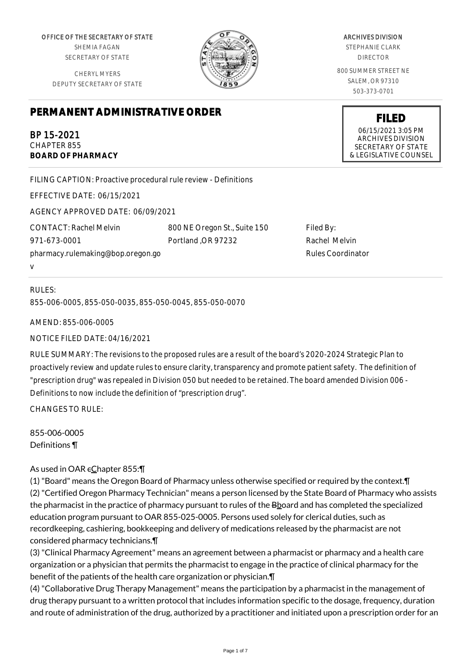OFFICE OF THE SECRETARY OF STATE SHEMIA FAGAN

SECRETARY OF STATE

CHERYL MYERS DEPUTY SECRETARY OF STATE

# **PERMANENT ADMINISTRATIVE ORDER**

BP 15-2021 CHAPTER 855 **BOARD OF PHARMACY**

FILING CAPTION: Proactive procedural rule review - Definitions

EFFECTIVE DATE: 06/15/2021

AGENCY APPROVED DATE: 06/09/2021

CONTACT: Rachel Melvin 971-673-0001 pharmacy.rulemaking@bop.oregon.go v

# RULES: 855-006-0005, 855-050-0035, 855-050-0045, 855-050-0070

AMEND: 855-006-0005

NOTICE FILED DATE: 04/16/2021

RULE SUMMARY: The revisions to the proposed rules are a result of the board's 2020-2024 Strategic Plan to proactively review and update rules to ensure clarity, transparency and promote patient safety. The definition of "prescription drug" was repealed in Division 050 but needed to be retained. The board amended Division 006 - Definitions to now include the definition of "prescription drug".

800 NE Oregon St., Suite 150

Portland ,OR 97232

CHANGES TO RULE:

855-006-0005 Definitions ¶

# As used in OAR  $\epsilon$ Chapter 855:¶

(1) "Board" means the Oregon Board of Pharmacy unless otherwise specified or required by the context.¶ (2) "Certified Oregon Pharmacy Technician" means a person licensed by the State Board of Pharmacy who assists the pharmacist in the practice of pharmacy pursuant to rules of the Bboard and has completed the specialized education program pursuant to OAR 855-025-0005. Persons used solely for clerical duties, such as recordkeeping, cashiering, bookkeeping and delivery of medications released by the pharmacist are not considered pharmacy technicians.¶

(3) "Clinical Pharmacy Agreement" means an agreement between a pharmacist or pharmacy and a health care organization or a physician that permits the pharmacist to engage in the practice of clinical pharmacy for the benefit of the patients of the health care organization or physician.¶

(4) "Collaborative Drug Therapy Management" means the participation by a pharmacist in the management of drug therapy pursuant to a written protocol that includes information specific to the dosage, frequency, duration and route of administration of the drug, authorized by a practitioner and initiated upon a prescription order for an

STEPHANIE CLARK DIRECTOR 800 SUMMER STREET NE

SALEM, OR 97310 503-373-0701

Filed By:

Rachel Melvin Rules Coordinator

**FILED** 06/15/2021 3:05 PM ARCHIVES DIVISION SECRETARY OF STATE & LEGISLATIVE COUNSEL



## ARCHIVES DIVISION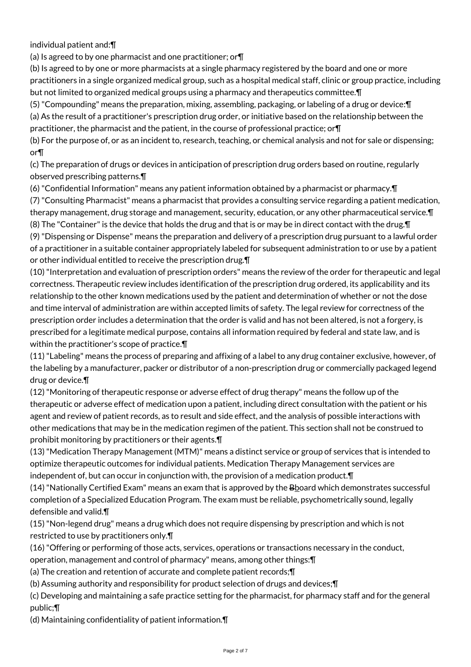individual patient and:¶

(a) Is agreed to by one pharmacist and one practitioner; or¶

(b) Is agreed to by one or more pharmacists at a single pharmacy registered by the board and one or more practitioners in a single organized medical group, such as a hospital medical staff, clinic or group practice, including but not limited to organized medical groups using a pharmacy and therapeutics committee.¶

(5) "Compounding" means the preparation, mixing, assembling, packaging, or labeling of a drug or device:¶ (a) As the result of a practitioner's prescription drug order, or initiative based on the relationship between the practitioner, the pharmacist and the patient, in the course of professional practice; or¶

(b) For the purpose of, or as an incident to, research, teaching, or chemical analysis and not for sale or dispensing; or¶

(c) The preparation of drugs or devices in anticipation of prescription drug orders based on routine, regularly observed prescribing patterns.¶

(6) "Confidential Information" means any patient information obtained by a pharmacist or pharmacy.¶

(7) "Consulting Pharmacist" means a pharmacist that provides a consulting service regarding a patient medication, therapy management, drug storage and management, security, education, or any other pharmaceutical service.¶ (8) The "Container" is the device that holds the drug and that is or may be in direct contact with the drug.¶ (9) "Dispensing or Dispense" means the preparation and delivery of a prescription drug pursuant to a lawful order

of a practitioner in a suitable container appropriately labeled for subsequent administration to or use by a patient or other individual entitled to receive the prescription drug.¶

(10) "Interpretation and evaluation of prescription orders" means the review of the order for therapeutic and legal correctness. Therapeutic review includes identification of the prescription drug ordered, its applicability and its relationship to the other known medications used by the patient and determination of whether or not the dose and time interval of administration are within accepted limits of safety. The legal review for correctness of the prescription order includes a determination that the order is valid and has not been altered, is not a forgery, is prescribed for a legitimate medical purpose, contains all information required by federal and state law, and is within the practitioner's scope of practice.¶

(11) "Labeling" means the process of preparing and affixing of a label to any drug container exclusive, however, of the labeling by a manufacturer, packer or distributor of a non-prescription drug or commercially packaged legend drug or device.¶

(12) "Monitoring of therapeutic response or adverse effect of drug therapy" means the follow up of the therapeutic or adverse effect of medication upon a patient, including direct consultation with the patient or his agent and review of patient records, as to result and side effect, and the analysis of possible interactions with other medications that may be in the medication regimen of the patient. This section shall not be construed to prohibit monitoring by practitioners or their agents.¶

(13) "Medication Therapy Management (MTM)" means a distinct service or group of services that is intended to optimize therapeutic outcomes for individual patients. Medication Therapy Management services are independent of, but can occur in conjunction with, the provision of a medication product.¶

(14) "Nationally Certified Exam" means an exam that is approved by the Bboard which demonstrates successful completion of a Specialized Education Program. The exam must be reliable, psychometrically sound, legally defensible and valid.¶

(15) "Non-legend drug" means a drug which does not require dispensing by prescription and which is not restricted to use by practitioners only.¶

(16) "Offering or performing of those acts, services, operations or transactions necessary in the conduct, operation, management and control of pharmacy" means, among other things:¶

(a) The creation and retention of accurate and complete patient records;¶

(b) Assuming authority and responsibility for product selection of drugs and devices;¶

(c) Developing and maintaining a safe practice setting for the pharmacist, for pharmacy staff and for the general public;¶

(d) Maintaining confidentiality of patient information.¶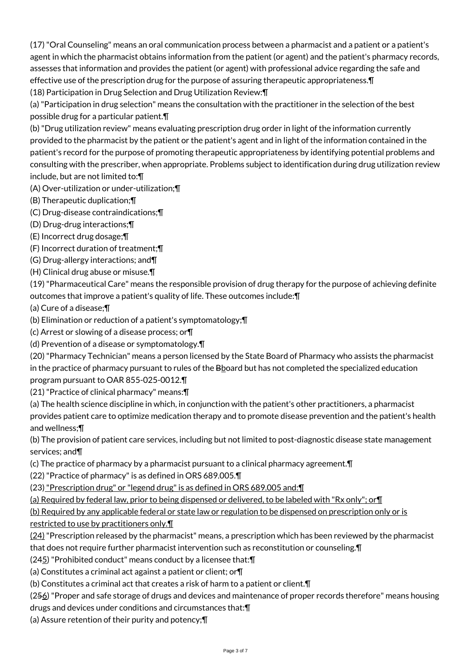(17) "Oral Counseling" means an oral communication process between a pharmacist and a patient or a patient's agent in which the pharmacist obtains information from the patient (or agent) and the patient's pharmacy records, assesses that information and provides the patient (or agent) with professional advice regarding the safe and effective use of the prescription drug for the purpose of assuring therapeutic appropriateness.¶ (18) Participation in Drug Selection and Drug Utilization Review:¶

(a) "Participation in drug selection" means the consultation with the practitioner in the selection of the best possible drug for a particular patient.¶

(b) "Drug utilization review" means evaluating prescription drug order in light of the information currently provided to the pharmacist by the patient or the patient's agent and in light of the information contained in the patient's record for the purpose of promoting therapeutic appropriateness by identifying potential problems and consulting with the prescriber, when appropriate. Problems subject to identification during drug utilization review include, but are not limited to:¶

(A) Over-utilization or under-utilization;¶

- (B) Therapeutic duplication;¶
- (C) Drug-disease contraindications;¶
- (D) Drug-drug interactions;¶
- (E) Incorrect drug dosage;¶
- (F) Incorrect duration of treatment;¶
- (G) Drug-allergy interactions; and¶
- (H) Clinical drug abuse or misuse.¶

(19) "Pharmaceutical Care" means the responsible provision of drug therapy for the purpose of achieving definite outcomes that improve a patient's quality of life. These outcomes include:¶

(a) Cure of a disease;¶

(b) Elimination or reduction of a patient's symptomatology;¶

- (c) Arrest or slowing of a disease process; or¶
- (d) Prevention of a disease or symptomatology.¶

(20) "Pharmacy Technician" means a person licensed by the State Board of Pharmacy who assists the pharmacist in the practice of pharmacy pursuant to rules of the Bboard but has not completed the specialized education program pursuant to OAR 855-025-0012.¶

(21) "Practice of clinical pharmacy" means:¶

(a) The health science discipline in which, in conjunction with the patient's other practitioners, a pharmacist provides patient care to optimize medication therapy and to promote disease prevention and the patient's health and wellness;¶

(b) The provision of patient care services, including but not limited to post-diagnostic disease state management services; and¶

(c) The practice of pharmacy by a pharmacist pursuant to a clinical pharmacy agreement.¶

(22) "Practice of pharmacy" is as defined in ORS 689.005.¶

(23) "Prescription drug" or "legend drug" is as defined in ORS 689.005 and:¶

(a) Required by federal law, prior to being dispensed or delivered, to be labeled with "Rx only"; or¶

(b) Required by any applicable federal or state law or regulation to be dispensed on prescription only or is restricted to use by practitioners only.¶

 $(24)$  "Prescription released by the pharmacist" means, a prescription which has been reviewed by the pharmacist

that does not require further pharmacist intervention such as reconstitution or counseling.¶

(245) "Prohibited conduct" means conduct by a licensee that:¶

(a) Constitutes a criminal act against a patient or client; or¶

(b) Constitutes a criminal act that creates a risk of harm to a patient or client.¶

(256) "Proper and safe storage of drugs and devices and maintenance of proper records therefore" means housing

drugs and devices under conditions and circumstances that:¶

(a) Assure retention of their purity and potency;¶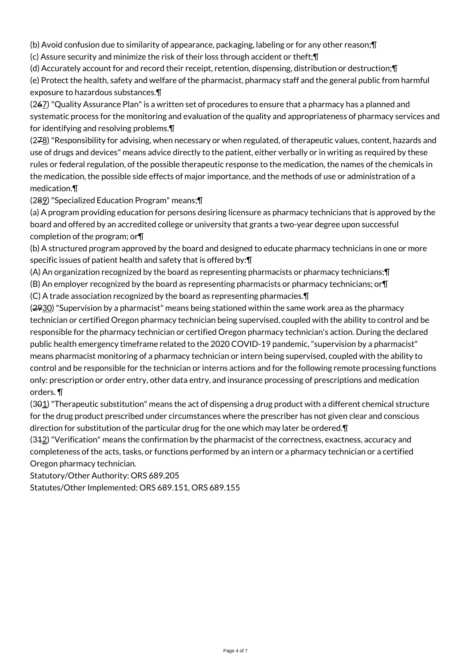(b) Avoid confusion due to similarity of appearance, packaging, labeling or for any other reason;¶

(c) Assure security and minimize the risk of their loss through accident or theft;¶

(d) Accurately account for and record their receipt, retention, dispensing, distribution or destruction;¶

(e) Protect the health, safety and welfare of the pharmacist, pharmacy staff and the general public from harmful exposure to hazardous substances.¶

(267) "Quality Assurance Plan" is a written set of procedures to ensure that a pharmacy has a planned and systematic process for the monitoring and evaluation of the quality and appropriateness of pharmacy services and for identifying and resolving problems.¶

(278) "Responsibility for advising, when necessary or when regulated, of therapeutic values, content, hazards and use of drugs and devices" means advice directly to the patient, either verbally or in writing as required by these rules or federal regulation, of the possible therapeutic response to the medication, the names of the chemicals in the medication, the possible side effects of major importance, and the methods of use or administration of a medication.¶

(289) "Specialized Education Program" means;¶

(a) A program providing education for persons desiring licensure as pharmacy technicians that is approved by the board and offered by an accredited college or university that grants a two-year degree upon successful completion of the program; or¶

(b) A structured program approved by the board and designed to educate pharmacy technicians in one or more specific issues of patient health and safety that is offered by:¶

(A) An organization recognized by the board as representing pharmacists or pharmacy technicians;¶

(B) An employer recognized by the board as representing pharmacists or pharmacy technicians; or¶

(C) A trade association recognized by the board as representing pharmacies.¶

(2930) "Supervision by a pharmacist" means being stationed within the same work area as the pharmacy technician or certified Oregon pharmacy technician being supervised, coupled with the ability to control and be responsible for the pharmacy technician or certified Oregon pharmacy technician's action. During the declared public health emergency timeframe related to the 2020 COVID-19 pandemic, "supervision by a pharmacist" means pharmacist monitoring of a pharmacy technician or intern being supervised, coupled with the ability to control and be responsible for the technician or interns actions and for the following remote processing functions only: prescription or order entry, other data entry, and insurance processing of prescriptions and medication orders. ¶

 $(391)$  "Therapeutic substitution" means the act of dispensing a drug product with a different chemical structure for the drug product prescribed under circumstances where the prescriber has not given clear and conscious direction for substitution of the particular drug for the one which may later be ordered.¶

 $(342)$  "Verification" means the confirmation by the pharmacist of the correctness, exactness, accuracy and completeness of the acts, tasks, or functions performed by an intern or a pharmacy technician or a certified Oregon pharmacy technician.

Statutory/Other Authority: ORS 689.205

Statutes/Other Implemented: ORS 689.151, ORS 689.155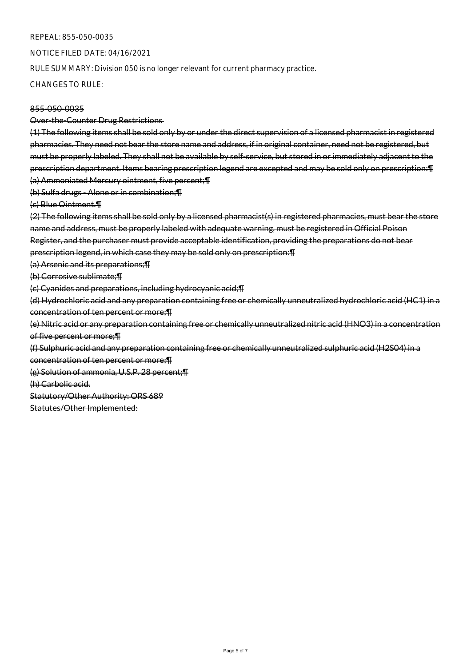#### REPEAL: 855-050-0035

NOTICE FILED DATE: 04/16/2021

RULE SUMMARY: Division 050 is no longer relevant for current pharmacy practice.

CHANGES TO RULE:

# 855-050-0035

Over-the-Counter Drug Restrictions

(1) The following items shall be sold only by or under the direct supervision of a licensed pharmacist in registered pharmacies. They need not bear the store name and address, if in original container, need not be registered, but must be properly labeled. They shall not be available by self-service, but stored in or immediately adjacent to the prescription department. Items bearing prescription legend are excepted and may be sold only on prescription:¶ (a) Ammoniated Mercury ointment, five percent;¶

(b) Sulfa drugs - Alone or in combination;¶

(c) Blue Ointment.¶

(2) The following items shall be sold only by a licensed pharmacist(s) in registered pharmacies, must bear the store name and address, must be properly labeled with adequate warning, must be registered in Official Poison Register, and the purchaser must provide acceptable identification, providing the preparations do not bear prescription legend, in which case they may be sold only on prescription:¶

(a) Arsenic and its preparations;¶

(b) Corrosive sublimate;¶

(c) Cyanides and preparations, including hydrocyanic acid;¶

(d) Hydrochloric acid and any preparation containing free or chemically unneutralized hydrochloric acid (HC1) in a concentration of ten percent or more;¶

(e) Nitric acid or any preparation containing free or chemically unneutralized nitric acid (HNO3) in a concentration of five percent or more;¶

(f) Sulphuric acid and any preparation containing free or chemically unneutralized sulphuric acid (H2S04) in a

concentration of ten percent or more;¶

(g) Solution of ammonia, U.S.P. 28 percent;¶

(h) Carbolic acid.

Statutory/Other Authority: ORS 689

Statutes/Other Implemented: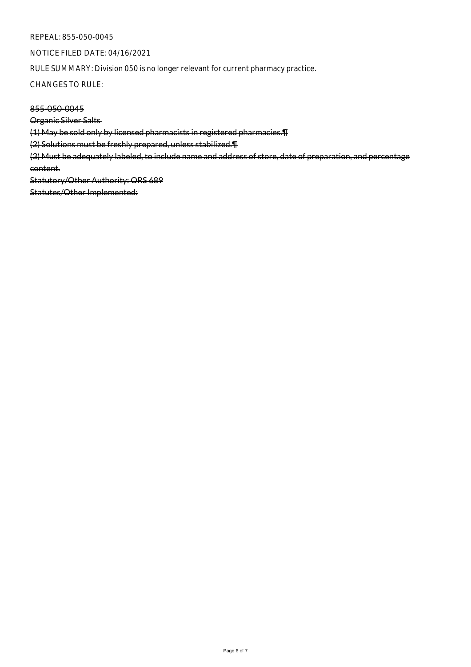#### REPEAL: 855-050-0045

NOTICE FILED DATE: 04/16/2021

RULE SUMMARY: Division 050 is no longer relevant for current pharmacy practice.

CHANGES TO RULE:

855-050-0045

Organic Silver Salts

(1) May be sold only by licensed pharmacists in registered pharmacies.¶

(2) Solutions must be freshly prepared, unless stabilized.¶

(3) Must be adequately labeled, to include name and address of store, date of preparation, and percentage content.

Statutory/Other Authority: ORS 689

Statutes/Other Implemented: